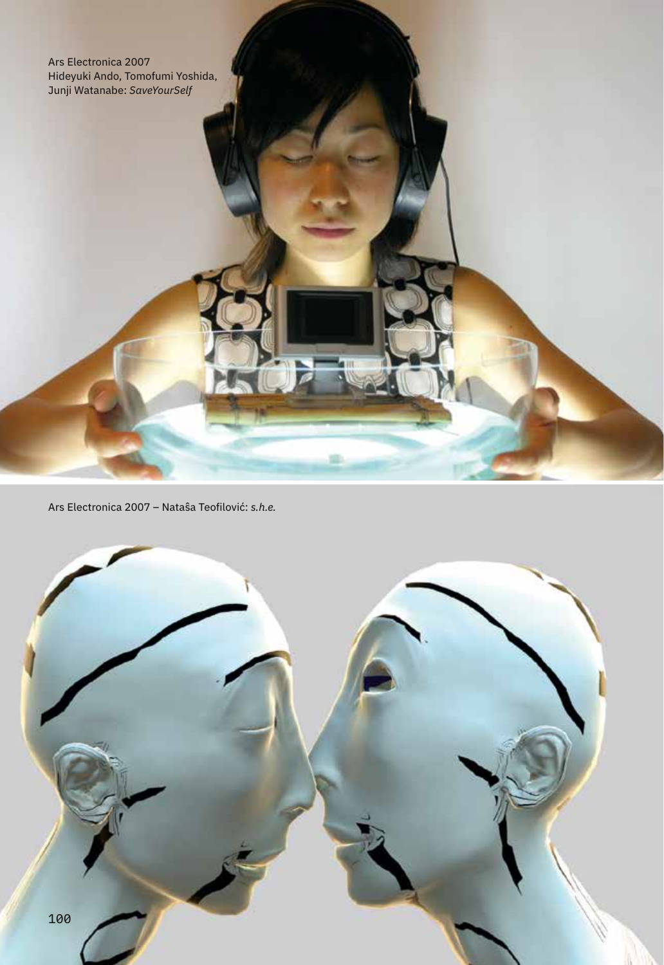Ars Electronica 2007 Hideyuki Ando, Tomofumi Yoshida, Junji Watanabe: *SaveYourSelf*

Ars Electronica 2007 – Nataŝa Teofilović: *s.h.e.*



. .

麻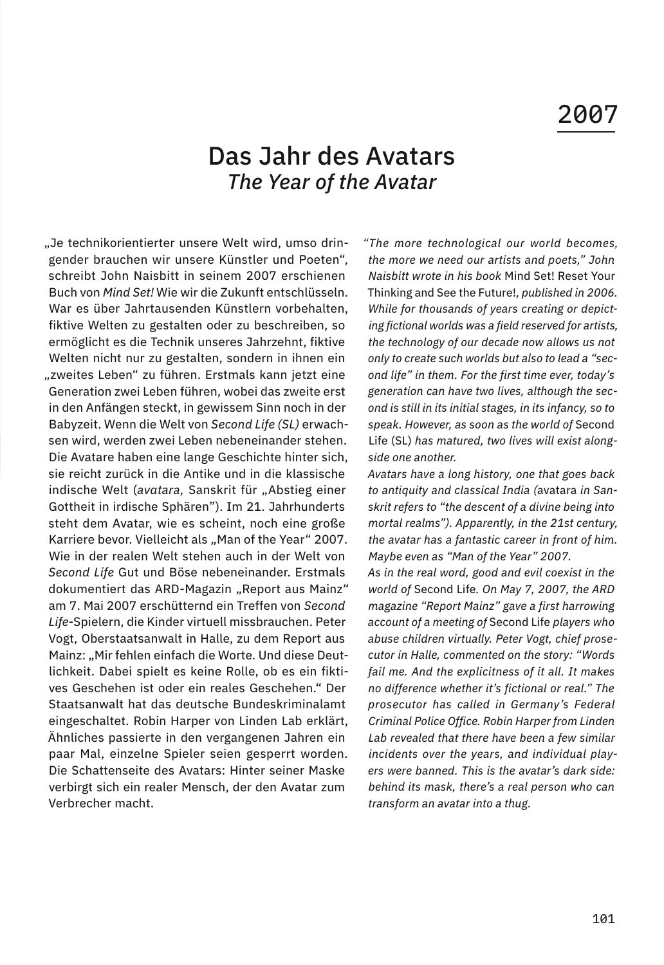## 2007

## Das Jahr des Avatars *The Year of the Avatar*

"Je technikorientierter unsere Welt wird, umso dringender brauchen wir unsere Künstler und Poeten", schreibt John Naisbitt in seinem 2007 erschienen Buch von *Mind Set!* Wie wir die Zukunft entschlüsseln. War es über Jahrtausenden Künstlern vorbehalten, fiktive Welten zu gestalten oder zu beschreiben, so ermöglicht es die Technik unseres Jahrzehnt, fiktive Welten nicht nur zu gestalten, sondern in ihnen ein "zweites Leben" zu führen. Erstmals kann jetzt eine Generation zwei Leben führen, wobei das zweite erst in den Anfängen steckt, in gewissem Sinn noch in der Babyzeit. Wenn die Welt von *Second Life (SL)* erwachsen wird, werden zwei Leben nebeneinander stehen. Die Avatare haben eine lange Geschichte hinter sich, sie reicht zurück in die Antike und in die klassische indische Welt (avatara, Sanskrit für "Abstieg einer Gottheit in irdische Sphären"). Im 21. Jahrhunderts steht dem Avatar, wie es scheint, noch eine große Karriere bevor. Vielleicht als "Man of the Year" 2007. Wie in der realen Welt stehen auch in der Welt von *Second Life* Gut und Böse nebeneinander. Erstmals dokumentiert das ARD-Magazin "Report aus Mainz" am 7. Mai 2007 erschütternd ein Treffen von *Second Life*-Spielern, die Kinder virtuell missbrauchen. Peter Vogt, Oberstaatsanwalt in Halle, zu dem Report aus Mainz: "Mir fehlen einfach die Worte. Und diese Deutlichkeit. Dabei spielt es keine Rolle, ob es ein fiktives Geschehen ist oder ein reales Geschehen." Der Staatsanwalt hat das deutsche Bundeskriminalamt eingeschaltet. Robin Harper von Linden Lab erklärt, Ähnliches passierte in den vergangenen Jahren ein paar Mal, einzelne Spieler seien gesperrt worden. Die Schattenseite des Avatars: Hinter seiner Maske verbirgt sich ein realer Mensch, der den Avatar zum Verbrecher macht.

*"The more technological our world becomes, the more we need our artists and poets," John Naisbitt wrote in his book* Mind Set! Reset Your Thinking and See the Future!, *published in 2006. While for thousands of years creating or depicting fictional worlds was a field reserved for artists, the technology of our decade now allows us not only to create such worlds but also to lead a "second life" in them. For the first time ever, today's generation can have two lives, although the second is still in its initial stages, in its infancy, so to speak. However, as soon as the world of* Second Life (SL) *has matured, two lives will exist alongside one another.* 

*Avatars have a long history, one that goes back to antiquity and classical India (*avatara *in Sanskrit refers to "the descent of a divine being into mortal realms"). Apparently, in the 21st century, the avatar has a fantastic career in front of him. Maybe even as "Man of the Year" 2007.* 

*As in the real word, good and evil coexist in the world of* Second Life*. On May 7, 2007, the ARD magazine "Report Mainz" gave a first harrowing account of a meeting of* Second Life *players who abuse children virtually. Peter Vogt, chief prosecutor in Halle, commented on the story: "Words fail me. And the explicitness of it all. It makes no difference whether it's fictional or real." The prosecutor has called in Germany's Federal Criminal Police Office. Robin Harper from Linden Lab revealed that there have been a few similar incidents over the years, and individual players were banned. This is the avatar's dark side: behind its mask, there's a real person who can transform an avatar into a thug.*